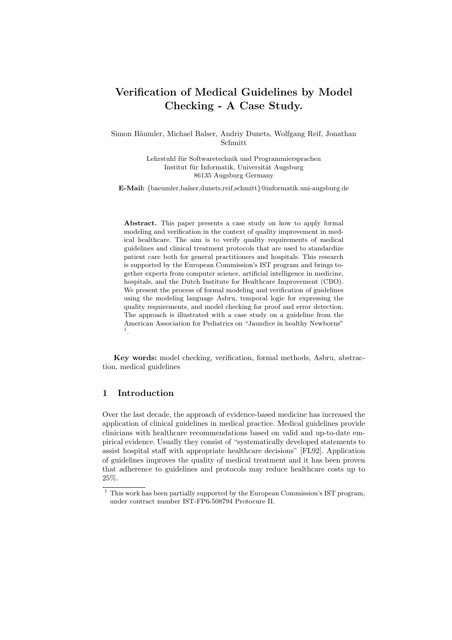# Verification of Medical Guidelines by Model Checking - A Case Study.

Simon Bäumler, Michael Balser, Andriy Dunets, Wolfgang Reif, Jonathan Schmitt

> Lehrstuhl für Softwaretechnik und Programmiersprachen Institut für Informatik, Universität Augsburg 86135 Augsburg Germany

E-Mail: {baeumler,balser,dunets,reif,schmitt}@informatik.uni-augsburg.de

Abstract. This paper presents a case study on how to apply formal modeling and verification in the context of quality improvement in medical healthcare. The aim is to verify quality requirements of medical guidelines and clinical treatment protocols that are used to standardize patient care both for general practitioners and hospitals. This research is supported by the European Commission's IST program and brings together experts from computer science, artificial intelligence in medicine, hospitals, and the Dutch Institute for Healthcare Improvement (CBO). We present the process of formal modeling and verification of guidelines using the modeling language Asbru, temporal logic for expressing the quality requirements, and model checking for proof and error detection. The approach is illustrated with a case study on a guideline from the American Association for Pediatrics on "Jaundice in healthy Newborns" 1 .

Key words: model checking, verification, formal methods, Asbru, abstraction, medical guidelines

### 1 Introduction

Over the last decade, the approach of evidence-based medicine has increased the application of clinical guidelines in medical practice. Medical guidelines provide clinicians with healthcare recommendations based on valid and up-to-date empirical evidence. Usually they consist of "systematically developed statements to assist hospital staff with appropriate healthcare decisions" [FL92]. Application of guidelines improves the quality of medical treatment and it has been proven that adherence to guidelines and protocols may reduce healthcare costs up to 25%.

 $\frac{1}{1}$  This work has been partially supported by the European Commission's IST program, under contract number IST-FP6-508794 Protocure II.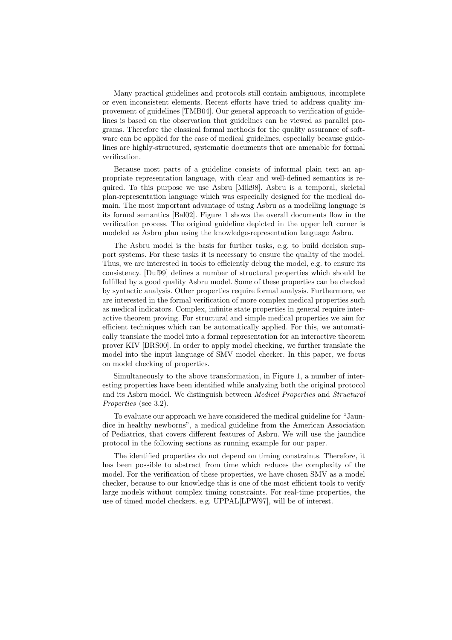Many practical guidelines and protocols still contain ambiguous, incomplete or even inconsistent elements. Recent efforts have tried to address quality improvement of guidelines [TMB04]. Our general approach to verification of guidelines is based on the observation that guidelines can be viewed as parallel programs. Therefore the classical formal methods for the quality assurance of software can be applied for the case of medical guidelines, especially because guidelines are highly-structured, systematic documents that are amenable for formal verification.

Because most parts of a guideline consists of informal plain text an appropriate representation language, with clear and well-defined semantics is required. To this purpose we use Asbru [Mik98]. Asbru is a temporal, skeletal plan-representation language which was especially designed for the medical domain. The most important advantage of using Asbru as a modelling language is its formal semantics [Bal02]. Figure 1 shows the overall documents flow in the verification process. The original guideline depicted in the upper left corner is modeled as Asbru plan using the knowledge-representation language Asbru.

The Asbru model is the basis for further tasks, e.g. to build decision support systems. For these tasks it is necessary to ensure the quality of the model. Thus, we are interested in tools to efficiently debug the model, e.g. to ensure its consistency. [Duf99] defines a number of structural properties which should be fulfilled by a good quality Asbru model. Some of these properties can be checked by syntactic analysis. Other properties require formal analysis. Furthermore, we are interested in the formal verification of more complex medical properties such as medical indicators. Complex, infinite state properties in general require interactive theorem proving. For structural and simple medical properties we aim for efficient techniques which can be automatically applied. For this, we automatically translate the model into a formal representation for an interactive theorem prover KIV [BRS00]. In order to apply model checking, we further translate the model into the input language of SMV model checker. In this paper, we focus on model checking of properties.

Simultaneously to the above transformation, in Figure 1, a number of interesting properties have been identified while analyzing both the original protocol and its Asbru model. We distinguish between Medical Properties and Structural Properties (see 3.2).

To evaluate our approach we have considered the medical guideline for "Jaundice in healthy newborns", a medical guideline from the American Association of Pediatrics, that covers different features of Asbru. We will use the jaundice protocol in the following sections as running example for our paper.

The identified properties do not depend on timing constraints. Therefore, it has been possible to abstract from time which reduces the complexity of the model. For the verification of these properties, we have chosen SMV as a model checker, because to our knowledge this is one of the most efficient tools to verify large models without complex timing constraints. For real-time properties, the use of timed model checkers, e.g. UPPAL[LPW97], will be of interest.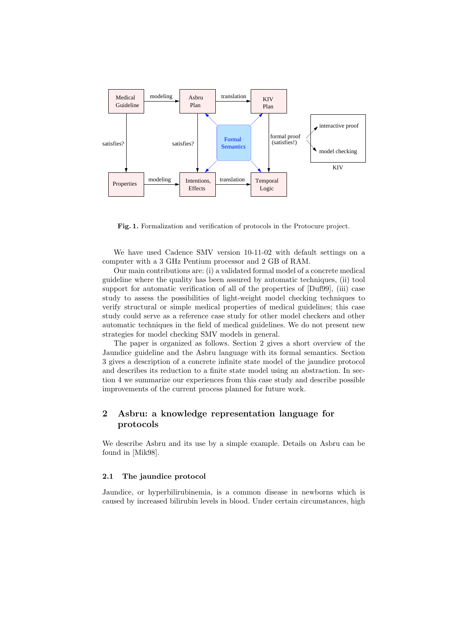

Fig. 1. Formalization and verification of protocols in the Protocure project.

We have used Cadence SMV version 10-11-02 with default settings on a computer with a 3 GHz Pentium processor and 2 GB of RAM.

Our main contributions are: (i) a validated formal model of a concrete medical guideline where the quality has been assured by automatic techniques, (ii) tool support for automatic verification of all of the properties of  $[Duf99]$ , (iii) case study to assess the possibilities of light-weight model checking techniques to verify structural or simple medical properties of medical guidelines; this case study could serve as a reference case study for other model checkers and other automatic techniques in the field of medical guidelines. We do not present new strategies for model checking SMV models in general.

The paper is organized as follows. Section 2 gives a short overview of the Jaundice guideline and the Asbru language with its formal semantics. Section 3 gives a description of a concrete infinite state model of the jaundice protocol and describes its reduction to a finite state model using an abstraction. In section 4 we summarize our experiences from this case study and describe possible improvements of the current process planned for future work.

# 2 Asbru: a knowledge representation language for protocols

We describe Asbru and its use by a simple example. Details on Asbru can be found in [Mik98].

#### 2.1 The jaundice protocol

Jaundice, or hyperbilirubinemia, is a common disease in newborns which is caused by increased bilirubin levels in blood. Under certain circumstances, high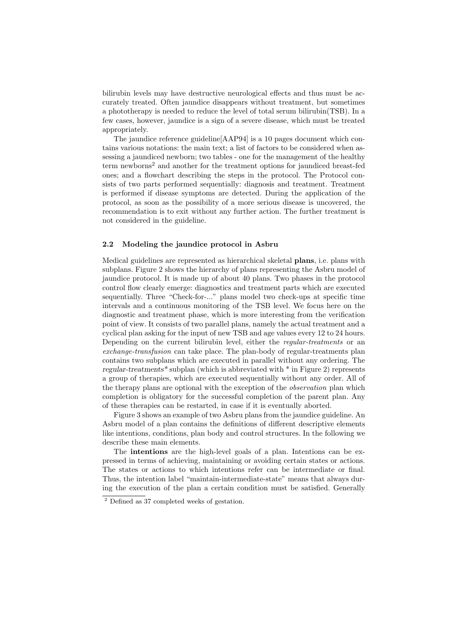bilirubin levels may have destructive neurological effects and thus must be accurately treated. Often jaundice disappears without treatment, but sometimes a phototherapy is needed to reduce the level of total serum bilirubin(TSB). In a few cases, however, jaundice is a sign of a severe disease, which must be treated appropriately.

The jaundice reference guideline[AAP94] is a 10 pages document which contains various notations: the main text; a list of factors to be considered when assessing a jaundiced newborn; two tables - one for the management of the healthy term newborns<sup>2</sup> and another for the treatment options for jaundiced breast-fed ones; and a flowchart describing the steps in the protocol. The Protocol consists of two parts performed sequentially: diagnosis and treatment. Treatment is performed if disease symptoms are detected. During the application of the protocol, as soon as the possibility of a more serious disease is uncovered, the recommendation is to exit without any further action. The further treatment is not considered in the guideline.

#### 2.2 Modeling the jaundice protocol in Asbru

Medical guidelines are represented as hierarchical skeletal plans, i.e. plans with subplans. Figure 2 shows the hierarchy of plans representing the Asbru model of jaundice protocol. It is made up of about 40 plans. Two phases in the protocol control flow clearly emerge: diagnostics and treatment parts which are executed sequentially. Three "Check-for-..." plans model two check-ups at specific time intervals and a continuous monitoring of the TSB level. We focus here on the diagnostic and treatment phase, which is more interesting from the verification point of view. It consists of two parallel plans, namely the actual treatment and a cyclical plan asking for the input of new TSB and age values every 12 to 24 hours. Depending on the current bilirubin level, either the regular-treatments or an exchange-transfusion can take place. The plan-body of regular-treatments plan contains two subplans which are executed in parallel without any ordering. The regular-treatments\* subplan (which is abbreviated with \* in Figure 2) represents a group of therapies, which are executed sequentially without any order. All of the therapy plans are optional with the exception of the observation plan which completion is obligatory for the successful completion of the parent plan. Any of these therapies can be restarted, in case if it is eventually aborted.

Figure 3 shows an example of two Asbru plans from the jaundice guideline. An Asbru model of a plan contains the definitions of different descriptive elements like intentions, conditions, plan body and control structures. In the following we describe these main elements.

The intentions are the high-level goals of a plan. Intentions can be expressed in terms of achieving, maintaining or avoiding certain states or actions. The states or actions to which intentions refer can be intermediate or final. Thus, the intention label "maintain-intermediate-state" means that always during the execution of the plan a certain condition must be satisfied. Generally

<sup>2</sup> Defined as 37 completed weeks of gestation.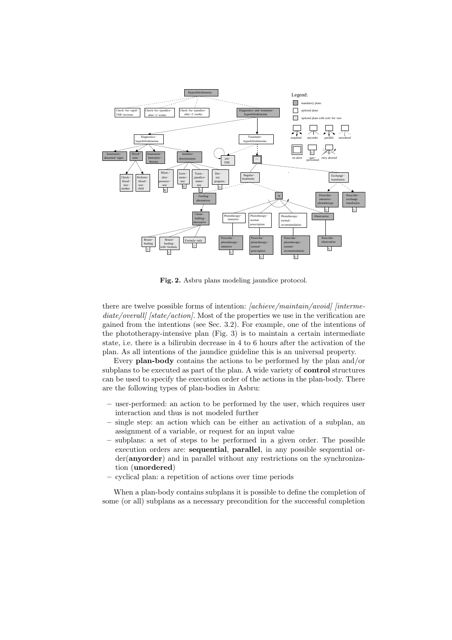

Fig. 2. Asbru plans modeling jaundice protocol.

there are twelve possible forms of intention: [achieve/maintain/avoid] [intermediate/overall [state/action]. Most of the properties we use in the verification are gained from the intentions (see Sec. 3.2). For example, one of the intentions of the phototherapy-intensive plan (Fig. 3) is to maintain a certain intermediate state, i.e. there is a bilirubin decrease in 4 to 6 hours after the activation of the plan. As all intentions of the jaundice guideline this is an universal property.

Every plan-body contains the actions to be performed by the plan and/or subplans to be executed as part of the plan. A wide variety of control structures can be used to specify the execution order of the actions in the plan-body. There are the following types of plan-bodies in Asbru:

- user-performed: an action to be performed by the user, which requires user interaction and thus is not modeled further
- single step: an action which can be either an activation of a subplan, an assignment of a variable, or request for an input value
- subplans: a set of steps to be performed in a given order. The possible execution orders are: sequential, parallel, in any possible sequential order(anyorder) and in parallel without any restrictions on the synchronization (unordered)
- cyclical plan: a repetition of actions over time periods

When a plan-body contains subplans it is possible to define the completion of some (or all) subplans as a necessary precondition for the successful completion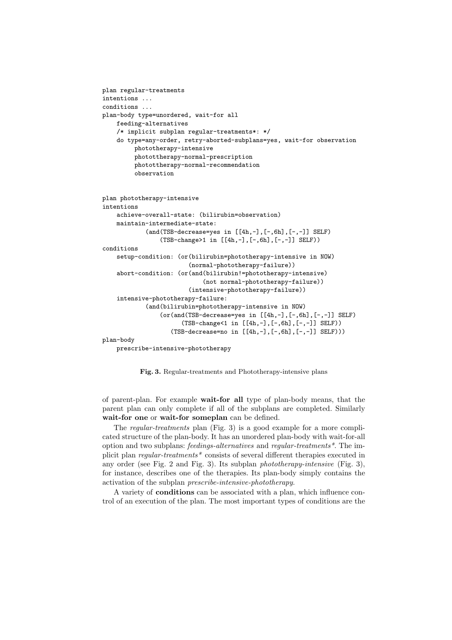```
plan regular-treatments
intentions ...
conditions ...
plan-body type=unordered, wait-for all
    feeding-alternatives
    /* implicit subplan regular-treatments*: */
    do type=any-order, retry-aborted-subplans=yes, wait-for observation
         phototherapy-intensive
         photottherapy-normal-prescription
         photottherapy-normal-recommendation
         observation
plan phototherapy-intensive
intentions
    achieve-overall-state: (bilirubin=observation)
    maintain-intermediate-state:
            (and(TSB-decrease=yes in [[4h,-], [-,6h], [-,-]] SELF)(TSB-change>1 in [[4h,-],[-,6h],[-,-]] SELF))
conditions
    setup-condition: (or(bilirubin=phototherapy-intensive in NOW)
                        (normal-phototherapy-failure))
    abort-condition: (or(and(bilirubin!=phototherapy-intensive)
                            (not normal-phototherapy-failure))
                        (intensive-phototherapy-failure))
    intensive-phototherapy-failure:
            (and(bilirubin=phototherapy-intensive in NOW)
                (or(and(TSB-decrease=yes in [[4h,-],[-,6h],[-,-]] SELF)
                      (TSB-change<1 in [[4h,-],[-,6h],[-,-]] SELF))
                   (TSB-decrease=no in [[4h,-],[-,6h],[-,-]] SELF)))
plan-body
```
prescribe-intensive-phototherapy

Fig. 3. Regular-treatments and Phototherapy-intensive plans

of parent-plan. For example wait-for all type of plan-body means, that the parent plan can only complete if all of the subplans are completed. Similarly wait-for one or wait-for someplan can be defined.

The regular-treatments plan (Fig. 3) is a good example for a more complicated structure of the plan-body. It has an unordered plan-body with wait-for-all option and two subplans: feedings-alternatives and regular-treatments\*. The implicit plan regular-treatments\* consists of several different therapies executed in any order (see Fig. 2 and Fig. 3). Its subplan phototherapy-intensive (Fig. 3), for instance, describes one of the therapies. Its plan-body simply contains the activation of the subplan prescribe-intensive-phototherapy.

A variety of conditions can be associated with a plan, which influence control of an execution of the plan. The most important types of conditions are the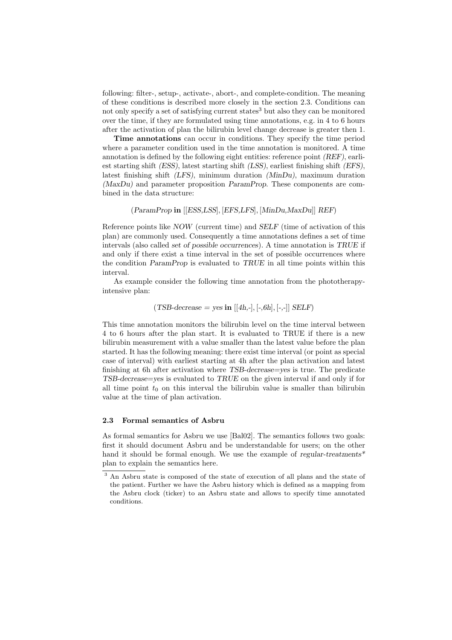following: filter-, setup-, activate-, abort-, and complete-condition. The meaning of these conditions is described more closely in the section 2.3. Conditions can not only specify a set of satisfying current states<sup>3</sup> but also they can be monitored over the time, if they are formulated using time annotations, e.g. in 4 to 6 hours after the activation of plan the bilirubin level change decrease is greater then 1.

Time annotations can occur in conditions. They specify the time period where a parameter condition used in the time annotation is monitored. A time annotation is defined by the following eight entities: reference point (REF), earliest starting shift (ESS), latest starting shift (LSS), earliest finishing shift (EFS), latest finishing shift (LFS), minimum duration (MinDu), maximum duration (MaxDu) and parameter proposition ParamProp. These components are combined in the data structure:

#### (ParamProp in [[ESS,LSS], [EFS,LFS], [MinDu,MaxDu]] REF)

Reference points like NOW (current time) and SELF (time of activation of this plan) are commonly used. Consequently a time annotations defines a set of time intervals (also called set of possible occurrences). A time annotation is TRUE if and only if there exist a time interval in the set of possible occurrences where the condition ParamProp is evaluated to TRUE in all time points within this interval.

As example consider the following time annotation from the phototherapyintensive plan:

#### $(TSB \text{-} decrease = yes \text{ in } [[4h, -], [-, 6h], [-, -]] \text{ } SELF)$

This time annotation monitors the bilirubin level on the time interval between 4 to 6 hours after the plan start. It is evaluated to TRUE if there is a new bilirubin measurement with a value smaller than the latest value before the plan started. It has the following meaning: there exist time interval (or point as special case of interval) with earliest starting at 4h after the plan activation and latest finishing at 6h after activation where TSB-decrease=yes is true. The predicate TSB-decrease=yes is evaluated to TRUE on the given interval if and only if for all time point  $t_0$  on this interval the bilirubin value is smaller than bilirubin value at the time of plan activation.

## 2.3 Formal semantics of Asbru

As formal semantics for Asbru we use [Bal02]. The semantics follows two goals: first it should document Asbru and be understandable for users; on the other hand it should be formal enough. We use the example of regular-treatments<sup>\*</sup> plan to explain the semantics here.

<sup>3</sup> An Asbru state is composed of the state of execution of all plans and the state of the patient. Further we have the Asbru history which is defined as a mapping from the Asbru clock (ticker) to an Asbru state and allows to specify time annotated conditions.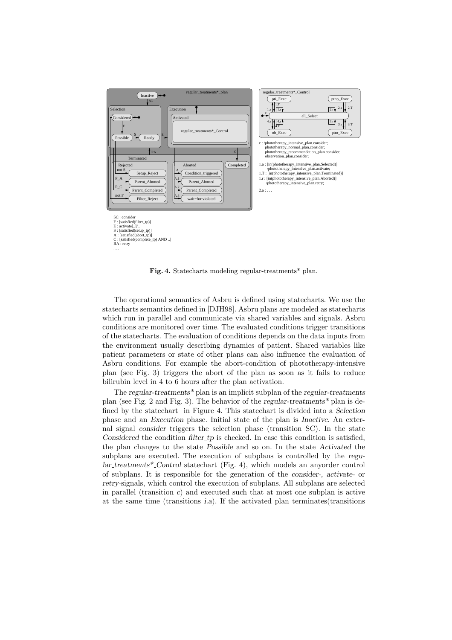

Fig. 4. Statecharts modeling regular-treatments\* plan.

The operational semantics of Asbru is defined using statecharts. We use the statecharts semantics defined in [DJH98]. Asbru plans are modeled as statecharts which run in parallel and communicate via shared variables and signals. Asbru conditions are monitored over time. The evaluated conditions trigger transitions of the statecharts. The evaluation of conditions depends on the data inputs from the environment usually describing dynamics of patient. Shared variables like patient parameters or state of other plans can also influence the evaluation of Asbru conditions. For example the abort-condition of phototherapy-intensive plan (see Fig. 3) triggers the abort of the plan as soon as it fails to reduce bilirubin level in 4 to 6 hours after the plan activation.

The regular-treatments\* plan is an implicit subplan of the regular-treatments plan (see Fig. 2 and Fig. 3). The behavior of the regular-treatments\* plan is defined by the statechart in Figure 4. This statechart is divided into a Selection phase and an Execution phase. Initial state of the plan is Inactive. An external signal consider triggers the selection phase (transition SC). In the state Considered the condition filter tp is checked. In case this condition is satisfied, the plan changes to the state Possible and so on. In the state Activated the subplans are executed. The execution of subplans is controlled by the regular treatments\* Control statechart (Fig. 4), which models an anyorder control of subplans. It is responsible for the generation of the consider-, activate- or retry-signals, which control the execution of subplans. All subplans are selected in parallel (transition  $c$ ) and executed such that at most one subplan is active at the same time (transitions i.a). If the activated plan terminates(transitions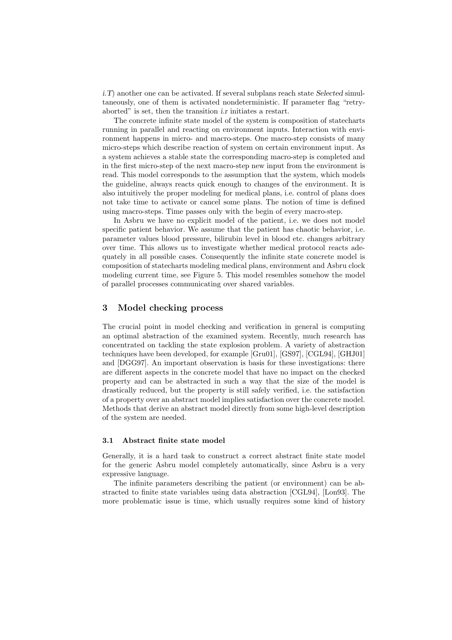i.T) another one can be activated. If several subplans reach state Selected simultaneously, one of them is activated nondeterministic. If parameter flag "retryaborted" is set, then the transition i.r initiates a restart.

The concrete infinite state model of the system is composition of statecharts running in parallel and reacting on environment inputs. Interaction with environment happens in micro- and macro-steps. One macro-step consists of many micro-steps which describe reaction of system on certain environment input. As a system achieves a stable state the corresponding macro-step is completed and in the first micro-step of the next macro-step new input from the environment is read. This model corresponds to the assumption that the system, which models the guideline, always reacts quick enough to changes of the environment. It is also intuitively the proper modeling for medical plans, i.e. control of plans does not take time to activate or cancel some plans. The notion of time is defined using macro-steps. Time passes only with the begin of every macro-step.

In Asbru we have no explicit model of the patient, i.e. we does not model specific patient behavior. We assume that the patient has chaotic behavior, i.e. parameter values blood pressure, bilirubin level in blood etc. changes arbitrary over time. This allows us to investigate whether medical protocol reacts adequately in all possible cases. Consequently the infinite state concrete model is composition of statecharts modeling medical plans, environment and Asbru clock modeling current time, see Figure 5. This model resembles somehow the model of parallel processes communicating over shared variables.

#### 3 Model checking process

The crucial point in model checking and verification in general is computing an optimal abstraction of the examined system. Recently, much research has concentrated on tackling the state explosion problem. A variety of abstraction techniques have been developed, for example [Gru01], [GS97], [CGL94], [GHJ01] and [DGG97]. An important observation is basis for these investigations: there are different aspects in the concrete model that have no impact on the checked property and can be abstracted in such a way that the size of the model is drastically reduced, but the property is still safely verified, i.e. the satisfaction of a property over an abstract model implies satisfaction over the concrete model. Methods that derive an abstract model directly from some high-level description of the system are needed.

#### 3.1 Abstract finite state model

Generally, it is a hard task to construct a correct abstract finite state model for the generic Asbru model completely automatically, since Asbru is a very expressive language.

The infinite parameters describing the patient (or environment) can be abstracted to finite state variables using data abstraction [CGL94], [Lon93]. The more problematic issue is time, which usually requires some kind of history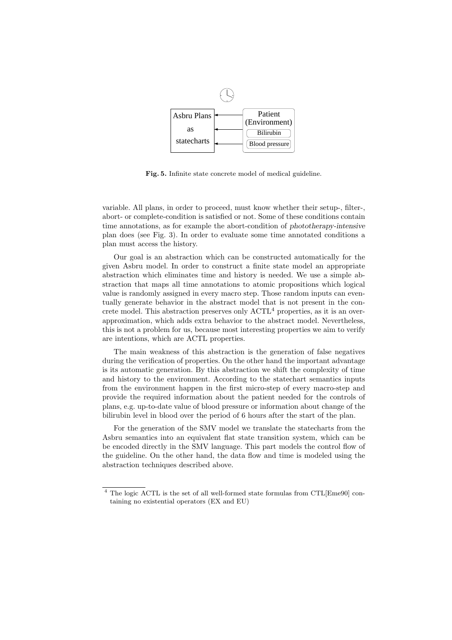

Fig. 5. Infinite state concrete model of medical guideline.

variable. All plans, in order to proceed, must know whether their setup-, filter-, abort- or complete-condition is satisfied or not. Some of these conditions contain time annotations, as for example the abort-condition of phototherapy-intensive plan does (see Fig. 3). In order to evaluate some time annotated conditions a plan must access the history.

Our goal is an abstraction which can be constructed automatically for the given Asbru model. In order to construct a finite state model an appropriate abstraction which eliminates time and history is needed. We use a simple abstraction that maps all time annotations to atomic propositions which logical value is randomly assigned in every macro step. Those random inputs can eventually generate behavior in the abstract model that is not present in the concrete model. This abstraction preserves only  $\mathrm{ACTL}^4$  properties, as it is an overapproximation, which adds extra behavior to the abstract model. Nevertheless, this is not a problem for us, because most interesting properties we aim to verify are intentions, which are ACTL properties.

The main weakness of this abstraction is the generation of false negatives during the verification of properties. On the other hand the important advantage is its automatic generation. By this abstraction we shift the complexity of time and history to the environment. According to the statechart semantics inputs from the environment happen in the first micro-step of every macro-step and provide the required information about the patient needed for the controls of plans, e.g. up-to-date value of blood pressure or information about change of the bilirubin level in blood over the period of 6 hours after the start of the plan.

For the generation of the SMV model we translate the statecharts from the Asbru semantics into an equivalent flat state transition system, which can be be encoded directly in the SMV language. This part models the control flow of the guideline. On the other hand, the data flow and time is modeled using the abstraction techniques described above.

<sup>4</sup> The logic ACTL is the set of all well-formed state formulas from CTL[Eme90] containing no existential operators (EX and EU)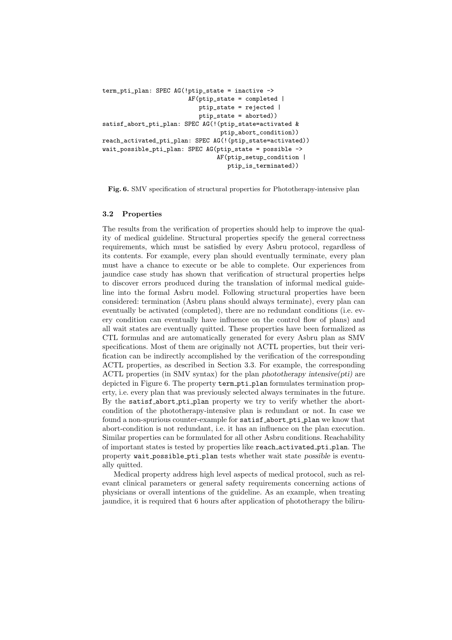```
term_pti_plan: SPEC AG(!ptip_state = inactive ->
                        AF(ptip_state = completed |
                           ptip_state = rejected |
                           ptip_state = aborted))
satisf_abort_pti_plan: SPEC AG(!(ptip_state=activated &
                                 ptip_abort_condition))
reach_activated_pti_plan: SPEC AG(!(ptip_state=activated))
wait_possible_pti_plan: SPEC AG(ptip_state = possible ->
                                AF(ptip_setup_condition |
                                   ptip_is_terminated))
```
Fig. 6. SMV specification of structural properties for Phototherapy-intensive plan

#### 3.2 Properties

The results from the verification of properties should help to improve the quality of medical guideline. Structural properties specify the general correctness requirements, which must be satisfied by every Asbru protocol, regardless of its contents. For example, every plan should eventually terminate, every plan must have a chance to execute or be able to complete. Our experiences from jaundice case study has shown that verification of structural properties helps to discover errors produced during the translation of informal medical guideline into the formal Asbru model. Following structural properties have been considered: termination (Asbru plans should always terminate), every plan can eventually be activated (completed), there are no redundant conditions (i.e. every condition can eventually have influence on the control flow of plans) and all wait states are eventually quitted. These properties have been formalized as CTL formulas and are automatically generated for every Asbru plan as SMV specifications. Most of them are originally not ACTL properties, but their verification can be indirectly accomplished by the verification of the corresponding ACTL properties, as described in Section 3.3. For example, the corresponding ACTL properties (in SMV syntax) for the plan phototherapy intensive(pti) are depicted in Figure 6. The property term pti plan formulates termination property, i.e. every plan that was previously selected always terminates in the future. By the satisf abort pti plan property we try to verify whether the abortcondition of the phototherapy-intensive plan is redundant or not. In case we found a non-spurious counter-example for satisf abort pti plan we know that abort-condition is not redundant, i.e. it has an influence on the plan execution. Similar properties can be formulated for all other Asbru conditions. Reachability of important states is tested by properties like reach activated pti plan. The property wait possible pti plan tests whether wait state possible is eventually quitted.

Medical property address high level aspects of medical protocol, such as relevant clinical parameters or general safety requirements concerning actions of physicians or overall intentions of the guideline. As an example, when treating jaundice, it is required that 6 hours after application of phototherapy the biliru-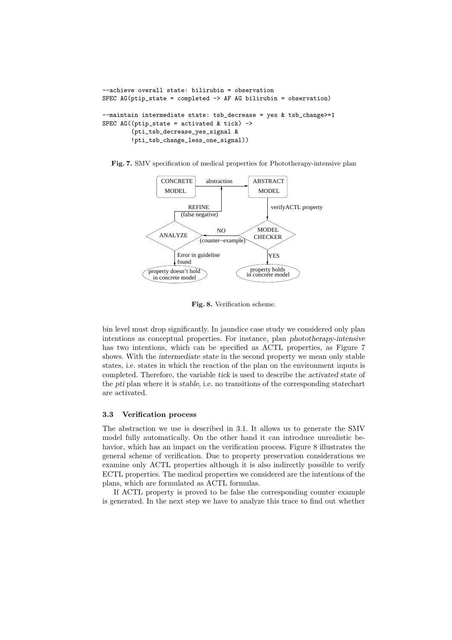```
--achieve overall state: bilirubin = observation
SPEC AG(ptip state = completed \rightarrow AF AG bilirubin = observation)
--maintain intermediate state: tsb_decrease = yes & tsb_change>=1
SPEC AG((ptip\_state = activated & tick) ->
        (pti_tsb_decrease_yes_signal &
        !pti_tsb_change_less_one_signal))
```
Fig. 7. SMV specification of medical properties for Phototherapy-intensive plan



Fig. 8. Verification scheme.

bin level must drop significantly. In jaundice case study we considered only plan intentions as conceptual properties. For instance, plan phototherapy-intensive has two intentions, which can be specified as ACTL properties, as Figure 7 shows. With the intermediate state in the second property we mean only stable states, i.e. states in which the reaction of the plan on the environment inputs is completed. Therefore, the variable tick is used to describe the activated state of the pti plan where it is stable, i.e. no transitions of the corresponding statechart are activated.

#### 3.3 Verification process

The abstraction we use is described in 3.1. It allows us to generate the SMV model fully automatically. On the other hand it can introduce unrealistic behavior, which has an impact on the verification process. Figure 8 illustrates the general scheme of verification. Due to property preservation considerations we examine only ACTL properties although it is also indirectly possible to verify ECTL properties. The medical properties we considered are the intentions of the plans, which are formulated as ACTL formulas.

If ACTL property is proved to be false the corresponding counter example is generated. In the next step we have to analyze this trace to find out whether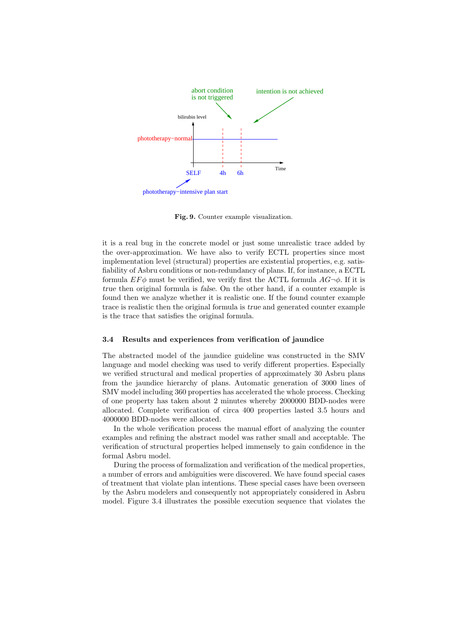

Fig. 9. Counter example visualization.

it is a real bug in the concrete model or just some unrealistic trace added by the over-approximation. We have also to verify ECTL properties since most implementation level (structural) properties are existential properties, e.g. satisfiability of Asbru conditions or non-redundancy of plans. If, for instance, a ECTL formula  $EF\phi$  must be verified, we verify first the ACTL formula  $AG\neg\phi$ . If it is true then original formula is false. On the other hand, if a counter example is found then we analyze whether it is realistic one. If the found counter example trace is realistic then the original formula is true and generated counter example is the trace that satisfies the original formula.

#### 3.4 Results and experiences from verification of jaundice

The abstracted model of the jaundice guideline was constructed in the SMV language and model checking was used to verify different properties. Especially we verified structural and medical properties of approximately 30 Asbru plans from the jaundice hierarchy of plans. Automatic generation of 3000 lines of SMV model including 360 properties has accelerated the whole process. Checking of one property has taken about 2 minutes whereby 2000000 BDD-nodes were allocated. Complete verification of circa 400 properties lasted 3.5 hours and 4000000 BDD-nodes were allocated.

In the whole verification process the manual effort of analyzing the counter examples and refining the abstract model was rather small and acceptable. The verification of structural properties helped immensely to gain confidence in the formal Asbru model.

During the process of formalization and verification of the medical properties, a number of errors and ambiguities were discovered. We have found special cases of treatment that violate plan intentions. These special cases have been overseen by the Asbru modelers and consequently not appropriately considered in Asbru model. Figure 3.4 illustrates the possible execution sequence that violates the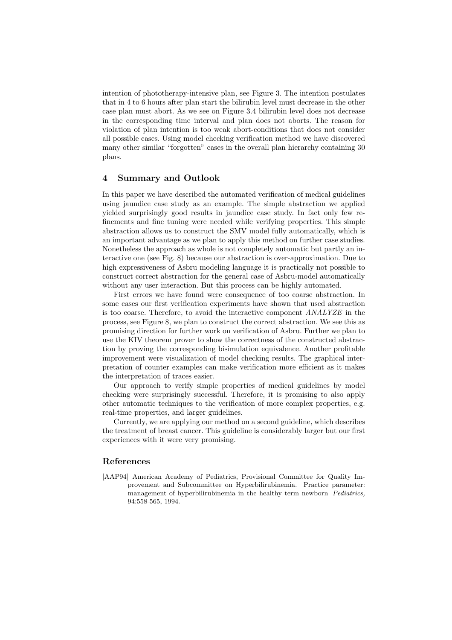intention of phototherapy-intensive plan, see Figure 3. The intention postulates that in 4 to 6 hours after plan start the bilirubin level must decrease in the other case plan must abort. As we see on Figure 3.4 bilirubin level does not decrease in the corresponding time interval and plan does not aborts. The reason for violation of plan intention is too weak abort-conditions that does not consider all possible cases. Using model checking verification method we have discovered many other similar "forgotten" cases in the overall plan hierarchy containing 30 plans.

## 4 Summary and Outlook

In this paper we have described the automated verification of medical guidelines using jaundice case study as an example. The simple abstraction we applied yielded surprisingly good results in jaundice case study. In fact only few refinements and fine tuning were needed while verifying properties. This simple abstraction allows us to construct the SMV model fully automatically, which is an important advantage as we plan to apply this method on further case studies. Nonetheless the approach as whole is not completely automatic but partly an interactive one (see Fig. 8) because our abstraction is over-approximation. Due to high expressiveness of Asbru modeling language it is practically not possible to construct correct abstraction for the general case of Asbru-model automatically without any user interaction. But this process can be highly automated.

First errors we have found were consequence of too coarse abstraction. In some cases our first verification experiments have shown that used abstraction is too coarse. Therefore, to avoid the interactive component ANALYZE in the process, see Figure 8, we plan to construct the correct abstraction. We see this as promising direction for further work on verification of Asbru. Further we plan to use the KIV theorem prover to show the correctness of the constructed abstraction by proving the corresponding bisimulation equivalence. Another profitable improvement were visualization of model checking results. The graphical interpretation of counter examples can make verification more efficient as it makes the interpretation of traces easier.

Our approach to verify simple properties of medical guidelines by model checking were surprisingly successful. Therefore, it is promising to also apply other automatic techniques to the verification of more complex properties, e.g. real-time properties, and larger guidelines.

Currently, we are applying our method on a second guideline, which describes the treatment of breast cancer. This guideline is considerably larger but our first experiences with it were very promising.

## References

[AAP94] American Academy of Pediatrics, Provisional Committee for Quality Improvement and Subcommittee on Hyperbilirubinemia. Practice parameter: management of hyperbilirubinemia in the healthy term newborn Pediatrics, 94:558-565, 1994.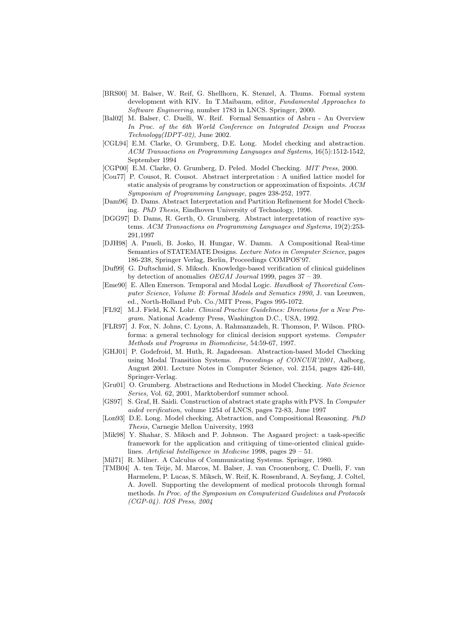- [BRS00] M. Balser, W. Reif, G. Shellhorn, K. Stenzel, A. Thums. Formal system development with KIV. In T.Maibaum, editor, Fundamental Approaches to Software Engineering, number 1783 in LNCS. Springer, 2000.
- [Bal02] M. Balser, C. Duelli, W. Reif. Formal Semantics of Asbru An Overview In Proc. of the 6th World Conference on Integrated Design and Process Technology(IDPT-02), June 2002.
- [CGL94] E.M. Clarke, O. Grumberg, D.E. Long. Model checking and abstraction. ACM Transactions on Programming Languages and Systems, 16(5):1512-1542, September 1994
- [CGP00] E.M. Clarke, O. Grumberg, D. Peled. Model Checking. MIT Press, 2000.
- [Cou77] P. Cousot, R. Cousot. Abstract interpretation : A unified lattice model for static analysis of programs by construction or approximation of fixpoints. ACM Symposium of Programming Language, pages 238-252, 1977.
- [Dam96] D. Dams. Abstract Interpretation and Partition Refinement for Model Checking. PhD Thesis, Eindhoven University of Technology, 1996.
- [DGG97] D. Dams, R. Gerth, O. Grumberg. Abstract interpretation of reactive systems. ACM Transactions on Programming Languages and Systems, 19(2):253- 291,1997
- [DJH98] A. Pnueli, B. Josko, H. Hungar, W. Damm. A Compositional Real-time Semantics of STATEMATE Designs. Lecture Notes in Computer Science, pages 186-238, Springer Verlag, Berlin, Proceedings COMPOS'97.
- [Duf99] G. Duftschmid, S. Miksch. Knowledge-based verification of clinical guidelines by detection of anomalies OEGAI Journal 1999, pages 37 – 39.
- [Eme90] E. Allen Emerson. Temporal and Modal Logic. Handbook of Theoretical Computer Science, Volume B: Formal Models and Sematics 1990, J. van Leeuwen, ed., North-Holland Pub. Co./MIT Press, Pages 995-1072.
- [FL92] M.J. Field, K.N. Lohr. Clinical Practice Guidelines: Directions for a New Program. National Academy Press, Washington D.C., USA, 1992.
- [FLR97] J. Fox, N. Johns, C. Lyons, A. Rahmanzadeh, R. Thomson, P. Wilson. PROforma: a general technology for clinical decision support systems. Computer Methods and Programs in Biomedicine, 54:59-67, 1997.
- [GHJ01] P. Godefroid, M. Huth, R. Jagadeesan. Abstraction-based Model Checking using Modal Transition Systems. Proceedings of CONCUR'2001, Aalborg, August 2001. Lecture Notes in Computer Science, vol. 2154, pages 426-440, Springer-Verlag.
- [Gru01] O. Grumberg. Abstractions and Reductions in Model Checking. Nato Science Series, Vol. 62, 2001, Marktoberdorf summer school.
- [GS97] S. Graf, H. Saidi. Construction of abstract state graphs with PVS. In Computer aided verification, volume 1254 of LNCS, pages 72-83, June 1997
- [Lon93] D.E. Long. Model checking, Abstraction, and Compositional Reasoning. PhD Thesis, Carnegie Mellon University, 1993
- [Mik98] Y. Shahar, S. Miksch and P. Johnson. The Asgaard project: a task-specific framework for the application and critiquing of time-oriented clinical guidelines. Artificial Intelligence in Medicine 1998, pages 29 – 51.
- [Mil71] R. Milner. A Calculus of Communicating Systems. Springer, 1980.
- [TMB04] A. ten Teije, M. Marcos, M. Balser, J. van Croonenborg, C. Duelli, F. van Harmelem, P. Lucas, S. Miksch, W. Reif, K. Rosenbrand, A. Seyfang, J. Coltel, A. Jovell. Supporting the development of medical protocols through formal methods. In Proc. of the Symposium on Computerized Guidelines and Protocols (CGP-04). IOS Press, 2004